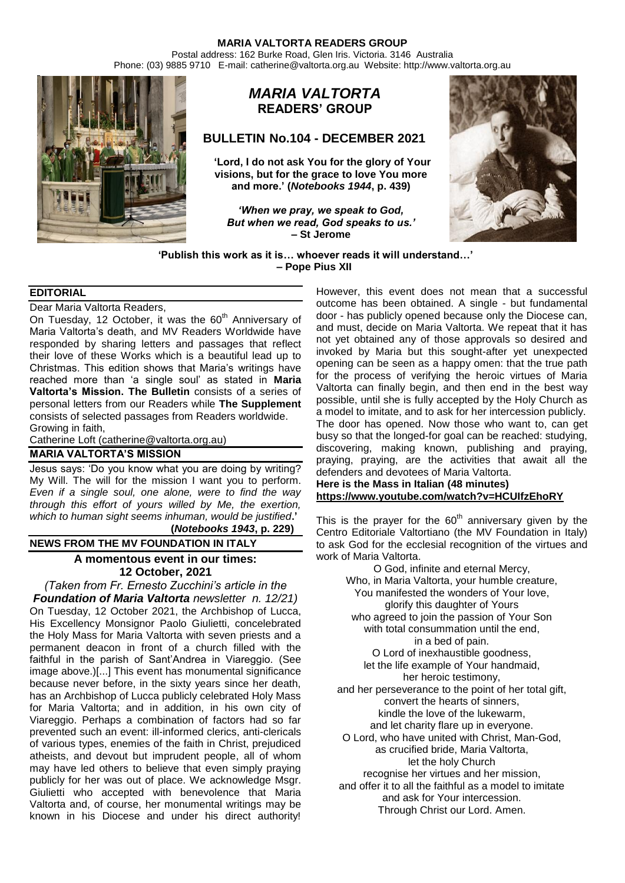Postal address: 162 Burke Road, Glen Iris. Victoria. 3146 Australia Phone: (03) 9885 9710 E-mail: catherine@valtorta.org.au Website: http://www.valtorta.org.au



# *MARIA VALTORTA* **READERS' GROUP**

# **BULLETIN No.104 - DECEMBER 2021**

**'Lord, I do not ask You for the glory of Your visions, but for the grace to love You more and more.' (***Notebooks 1944***, p. 439)**

*'When we pray, we speak to God, But when we read, God speaks to us.'* **– St Jerome**



**'Publish this work as it is… whoever reads it will understand…' – Pope Pius XII**

# **EDITORIAL**

Dear Maria Valtorta Readers,

On Tuesday, 12 October, it was the  $60<sup>th</sup>$  Anniversary of Maria Valtorta's death, and MV Readers Worldwide have responded by sharing letters and passages that reflect their love of these Works which is a beautiful lead up to Christmas. This edition shows that Maria's writings have reached more than 'a single soul' as stated in **Maria Valtorta's Mission. The Bulletin** consists of a series of personal letters from our Readers while **The Supplement** consists of selected passages from Readers worldwide. Growing in faith,

Catherine Loft [\(catherine@valtorta.org.au\)](mailto:catherine@valtorta.org.au)

# **MARIA VALTORTA'S MISSION**

Jesus says: 'Do you know what you are doing by writing? My Will. The will for the mission I want you to perform. *Even if a single soul, one alone, were to find the way through this effort of yours willed by Me, the exertion, which to human sight seems inhuman, would be justified***.' (***Notebooks 1943***, p. 229)**

# **NEWS FROM THE MV FOUNDATION IN ITALY**

# **[A momentous event in our times:](https://fondazionemariavaltorta.it/newsletter-n-12-21-an-epochal-event-12-october-2021/)  12 October, 2021**

*(Taken from Fr. Ernesto Zucchini's article in the Foundation of Maria Valtorta newsletter n. 12/21)* On Tuesday, 12 October 2021, the Archbishop of Lucca, His Excellency Monsignor Paolo Giulietti, concelebrated the Holy Mass for Maria Valtorta with seven priests and a permanent deacon in front of a church filled with the faithful in the parish of Sant'Andrea in Viareggio. (See image above.)[...] This event has monumental significance because never before, in the sixty years since her death, has an Archbishop of Lucca publicly celebrated Holy Mass for Maria Valtorta; and in addition, in his own city of Viareggio. Perhaps a combination of factors had so far prevented such an event: ill-informed clerics, anti-clericals of various types, enemies of the faith in Christ, prejudiced atheists, and devout but imprudent people, all of whom may have led others to believe that even simply praying publicly for her was out of place. We acknowledge Msgr. Giulietti who accepted with benevolence that Maria Valtorta and, of course, her monumental writings may be known in his Diocese and under his direct authority!

However, this event does not mean that a successful outcome has been obtained. A single - but fundamental door - has publicly opened because only the Diocese can, and must, decide on Maria Valtorta. We repeat that it has not yet obtained any of those approvals so desired and invoked by Maria but this sought-after yet unexpected opening can be seen as a happy omen: that the true path for the process of verifying the heroic virtues of Maria Valtorta can finally begin, and then end in the best way possible, until she is fully accepted by the Holy Church as a model to imitate, and to ask for her intercession publicly. The door has opened. Now those who want to, can get busy so that the longed-for goal can be reached: studying, discovering, making known, publishing and praying, praying, praying, are the activities that await all the defenders and devotees of Maria Valtorta.

**Here is the Mass in Italian (48 minutes) <https://www.youtube.com/watch?v=HCUIfzEhoRY>**

This is the prayer for the  $60<sup>th</sup>$  anniversary given by the Centro Editoriale Valtortiano (the MV Foundation in Italy) to ask God for the ecclesial recognition of the virtues and work of Maria Valtorta.

O God, infinite and eternal Mercy, Who, in Maria Valtorta, your humble creature, You manifested the wonders of Your love, glorify this daughter of Yours who agreed to join the passion of Your Son with total consummation until the end, in a bed of pain. O Lord of inexhaustible goodness, let the life example of Your handmaid, her heroic testimony, and her perseverance to the point of her total gift, convert the hearts of sinners, kindle the love of the lukewarm, and let charity flare up in everyone. O Lord, who have united with Christ, Man-God, as crucified bride, Maria Valtorta, let the holy Church recognise her virtues and her mission, and offer it to all the faithful as a model to imitate and ask for Your intercession. Through Christ our Lord. Amen.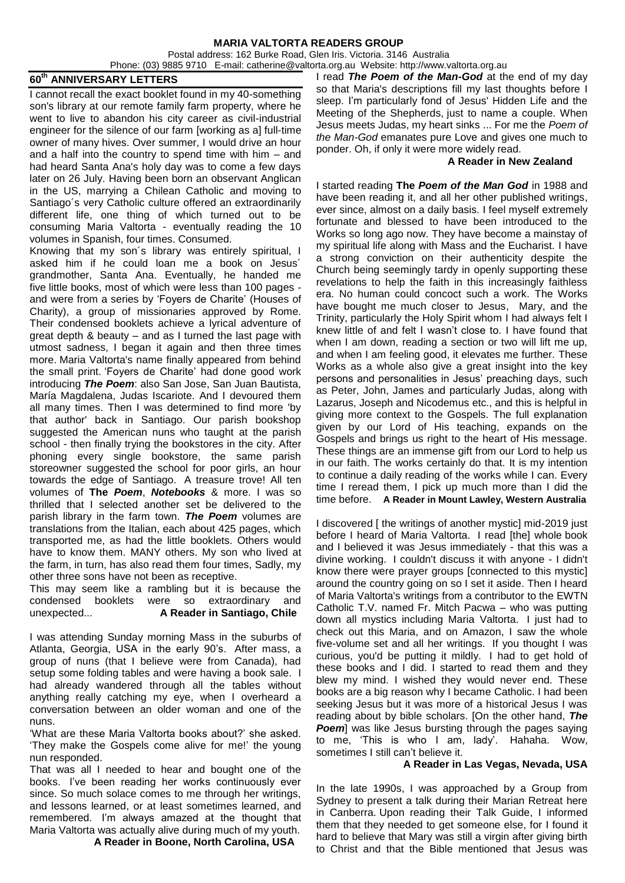Postal address: 162 Burke Road, Glen Iris. Victoria. 3146 Australia Phone: (03) 9885 9710 E-mail: catherine@valtorta.org.au Website: http://www.valtorta.org.au

# **60th ANNIVERSARY LETTERS**

I cannot recall the exact booklet found in my 40-something son's library at our remote family farm property, where he went to live to abandon his city career as civil-industrial engineer for the silence of our farm [working as a] full-time owner of many hives. Over summer, I would drive an hour and a half into the country to spend time with him – and had heard Santa Ana's holy day was to come a few days later on 26 July. Having been born an observant Anglican in the US, marrying a Chilean Catholic and moving to Santiago´s very Catholic culture offered an extraordinarily different life, one thing of which turned out to be consuming Maria Valtorta - eventually reading the 10 volumes in Spanish, four times. Consumed.

Knowing that my son´s library was entirely spiritual, I asked him if he could loan me a book on Jesus´ grandmother, Santa Ana. Eventually, he handed me five little books, most of which were less than 100 pages and were from a series by 'Foyers de Charite' (Houses of Charity), a group of missionaries approved by Rome. Their condensed booklets achieve a lyrical adventure of great depth & beauty – and as I turned the last page with utmost sadness, I began it again and then three times more. Maria Valtorta's name finally appeared from behind the small print. 'Foyers de Charite' had done good work introducing *The Poem*: also San Jose, San Juan Bautista, María Magdalena, Judas Iscariote. And I devoured them all many times. Then I was determined to find more 'by that author' back in Santiago. Our parish bookshop suggested the American nuns who taught at the parish school - then finally trying the bookstores in the city. After phoning every single bookstore, the same parish storeowner suggested the school for poor girls, an hour towards the edge of Santiago. A treasure trove! All ten volumes of **The** *Poem*, *Notebooks* & more. I was so thrilled that I selected another set be delivered to the parish library in the farm town. *The Poem* volumes are translations from the Italian, each about 425 pages, which transported me, as had the little booklets. Others would have to know them. MANY others. My son who lived at the farm, in turn, has also read them four times, Sadly, my other three sons have not been as receptive.

This may seem like a rambling but it is because the condensed booklets were so extraordinary and unexpected... **A Reader in Santiago, Chile**

I was attending Sunday morning Mass in the suburbs of Atlanta, Georgia, USA in the early 90's. After mass, a group of nuns (that I believe were from Canada), had setup some folding tables and were having a book sale. I had already wandered through all the tables without anything really catching my eye, when I overheard a conversation between an older woman and one of the nuns.

'What are these Maria Valtorta books about?' she asked. 'They make the Gospels come alive for me!' the young nun responded.

That was all I needed to hear and bought one of the books. I've been reading her works continuously ever since. So much solace comes to me through her writings, and lessons learned, or at least sometimes learned, and remembered. I'm always amazed at the thought that Maria Valtorta was actually alive during much of my youth.

 **A Reader in Boone, North Carolina, USA**

I read *The Poem of the Man-God* at the end of my day so that Maria's descriptions fill my last thoughts before I sleep. I'm particularly fond of Jesus' Hidden Life and the Meeting of the Shepherds, just to name a couple. When Jesus meets Judas, my heart sinks ... For me the *Poem of the Man-God* emanates pure Love and gives one much to ponder. Oh, if only it were more widely read.

#### **A Reader in New Zealand**

I started reading **The** *Poem of the Man God* in 1988 and have been reading it, and all her other published writings, ever since, almost on a daily basis. I feel myself extremely fortunate and blessed to have been introduced to the Works so long ago now. They have become a mainstay of my spiritual life along with Mass and the Eucharist. I have a strong conviction on their authenticity despite the Church being seemingly tardy in openly supporting these revelations to help the faith in this increasingly faithless era. No human could concoct such a work. The Works have bought me much closer to Jesus, Mary, and the Trinity, particularly the Holy Spirit whom I had always felt I knew little of and felt I wasn't close to. I have found that when I am down, reading a section or two will lift me up, and when I am feeling good, it elevates me further. These Works as a whole also give a great insight into the key persons and personalities in Jesus' preaching days, such as Peter, John, James and particularly Judas, along with Lazarus, Joseph and Nicodemus etc., and this is helpful in giving more context to the Gospels. The full explanation given by our Lord of His teaching, expands on the Gospels and brings us right to the heart of His message. These things are an immense gift from our Lord to help us in our faith. The works certainly do that. It is my intention to continue a daily reading of the works while I can. Every time I reread them, I pick up much more than I did the time before. **A Reader in Mount Lawley, Western Australia**

I discovered [ the writings of another mystic] mid-2019 just before I heard of Maria Valtorta. I read [the] whole book and I believed it was Jesus immediately - that this was a divine working. I couldn't discuss it with anyone - I didn't know there were prayer groups [connected to this mystic] around the country going on so I set it aside. Then I heard of Maria Valtorta's writings from a contributor to the EWTN Catholic T.V. named Fr. Mitch Pacwa – who was putting down all mystics including Maria Valtorta. I just had to check out this Maria, and on Amazon, I saw the whole five-volume set and all her writings. If you thought I was curious, you'd be putting it mildly. I had to get hold of these books and I did. I started to read them and they blew my mind. I wished they would never end. These books are a big reason why I became Catholic. I had been seeking Jesus but it was more of a historical Jesus I was reading about by bible scholars. [On the other hand, *The*  **Poem** was like Jesus bursting through the pages saying to me, 'This is who I am, lady'. Hahaha. Wow, sometimes I still can't believe it.

### **A Reader in Las Vegas, Nevada, USA**

In the late 1990s, I was approached by a Group from Sydney to present a talk during their Marian Retreat here in Canberra. Upon reading their Talk Guide, I informed them that they needed to get someone else, for I found it hard to believe that Mary was still a virgin after giving birth to Christ and that the Bible mentioned that Jesus was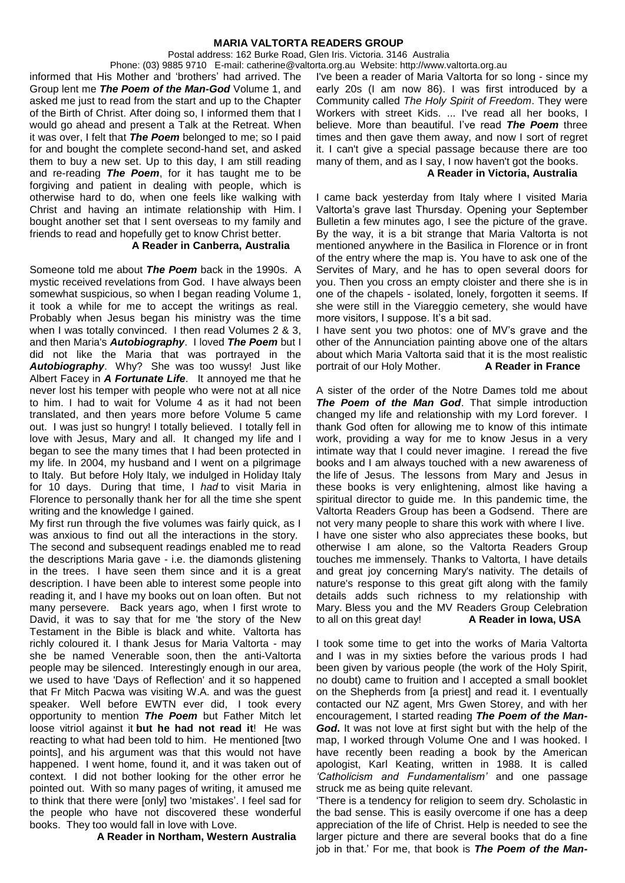Postal address: 162 Burke Road, Glen Iris. Victoria. 3146 Australia

Phone: (03) 9885 9710 E-mail: catherine@valtorta.org.au Website: http://www.valtorta.org.au informed that His Mother and 'brothers' had arrived. The Group lent me *The Poem of the Man-God* Volume 1, and asked me just to read from the start and up to the Chapter of the Birth of Christ. After doing so, I informed them that I would go ahead and present a Talk at the Retreat. When it was over, I felt that *The Poem* belonged to me; so I paid for and bought the complete second-hand set, and asked them to buy a new set. Up to this day, I am still reading and re-reading *The Poem*, for it has taught me to be forgiving and patient in dealing with people, which is otherwise hard to do, when one feels like walking with Christ and having an intimate relationship with Him. I bought another set that I sent overseas to my family and friends to read and hopefully get to know Christ better.

#### **A Reader in Canberra, Australia**

Someone told me about *The Poem* back in the 1990s. A mystic received revelations from God. I have always been somewhat suspicious, so when I began reading Volume 1, it took a while for me to accept the writings as real. Probably when Jesus began his ministry was the time when I was totally convinced. I then read Volumes 2 & 3, and then Maria's *Autobiography*. I loved *The Poem* but I did not like the Maria that was portrayed in the *Autobiography*. Why? She was too wussy! Just like Albert Facey in *A Fortunate Life*. It annoyed me that he never lost his temper with people who were not at all nice to him. I had to wait for Volume 4 as it had not been translated, and then years more before Volume 5 came out. I was just so hungry! I totally believed. I totally fell in love with Jesus, Mary and all. It changed my life and I began to see the many times that I had been protected in my life. In 2004, my husband and I went on a pilgrimage to Italy. But before Holy Italy, we indulged in Holiday Italy for 10 days. During that time, I *had* to visit Maria in Florence to personally thank her for all the time she spent writing and the knowledge I gained.

My first run through the five volumes was fairly quick, as I was anxious to find out all the interactions in the story. The second and subsequent readings enabled me to read the descriptions Maria gave - i.e. the diamonds glistening in the trees. I have seen them since and it is a great description. I have been able to interest some people into reading it, and I have my books out on loan often. But not many persevere. Back years ago, when I first wrote to David, it was to say that for me 'the story of the New Testament in the Bible is black and white. Valtorta has richly coloured it. I thank Jesus for Maria Valtorta - may she be named Venerable soon, then the anti-Valtorta people may be silenced. Interestingly enough in our area, we used to have 'Days of Reflection' and it so happened that Fr Mitch Pacwa was visiting W.A. and was the guest speaker. Well before EWTN ever did, I took every opportunity to mention *The Poem* but Father Mitch let loose vitriol against it **but he had not read it**! He was reacting to what had been told to him. He mentioned [two points], and his argument was that this would not have happened. I went home, found it, and it was taken out of context. I did not bother looking for the other error he pointed out. With so many pages of writing, it amused me to think that there were [only] two 'mistakes'. I feel sad for the people who have not discovered these wonderful books. They too would fall in love with Love.

 **A Reader in Northam, Western Australia**

I've been a reader of Maria Valtorta for so long - since my early 20s (I am now 86). I was first introduced by a Community called *The Holy Spirit of Freedom*. They were Workers with street Kids. ... I've read all her books, I believe. More than beautiful. I've read *The Poem* three times and then gave them away, and now I sort of regret it. I can't give a special passage because there are too many of them, and as I say, I now haven't got the books.

#### **A Reader in Victoria, Australia**

I came back yesterday from Italy where I visited Maria Valtorta's grave last Thursday. Opening your September Bulletin a few minutes ago, I see the picture of the grave. By the way, it is a bit strange that Maria Valtorta is not mentioned anywhere in the Basilica in Florence or in front of the entry where the map is. You have to ask one of the Servites of Mary, and he has to open several doors for you. Then you cross an empty cloister and there she is in one of the chapels - isolated, lonely, forgotten it seems. If she were still in the Viareggio cemetery, she would have more visitors. I suppose. It's a bit sad.

I have sent you two photos: one of MV's grave and the other of the Annunciation painting above one of the altars about which Maria Valtorta said that it is the most realistic portrait of our Holy Mother. **A Reader in France**

A sister of the order of the Notre Dames told me about *The Poem of the Man God*. That simple introduction changed my life and relationship with my Lord forever. I thank God often for allowing me to know of this intimate work, providing a way for me to know Jesus in a very intimate way that I could never imagine. I reread the five books and I am always touched with a new awareness of the life of Jesus. The lessons from Mary and Jesus in these books is very enlightening, almost like having a spiritual director to guide me. In this pandemic time, the Valtorta Readers Group has been a Godsend. There are not very many people to share this work with where I live. I have one sister who also appreciates these books, but otherwise I am alone, so the Valtorta Readers Group touches me immensely. Thanks to Valtorta, I have details and great joy concerning Mary's nativity. The details of nature's response to this great gift along with the family details adds such richness to my relationship with Mary. Bless you and the MV Readers Group Celebration to all on this great day! **A Reader in Iowa, USA**

I took some time to get into the works of Maria Valtorta and I was in my sixties before the various prods I had been given by various people (the work of the Holy Spirit, no doubt) came to fruition and I accepted a small booklet on the Shepherds from [a priest] and read it. I eventually contacted our NZ agent, Mrs Gwen Storey, and with her encouragement, I started reading *The Poem of the Man-God***.** It was not love at first sight but with the help of the map, I worked through Volume One and I was hooked. I have recently been reading a book by the American apologist, Karl Keating, written in 1988. It is called *'Catholicism and Fundamentalism'* and one passage struck me as being quite relevant.

'There is a tendency for religion to seem dry. Scholastic in the bad sense. This is easily overcome if one has a deep appreciation of the life of Christ. Help is needed to see the larger picture and there are several books that do a fine job in that.' For me, that book is *The Poem of the Man-*